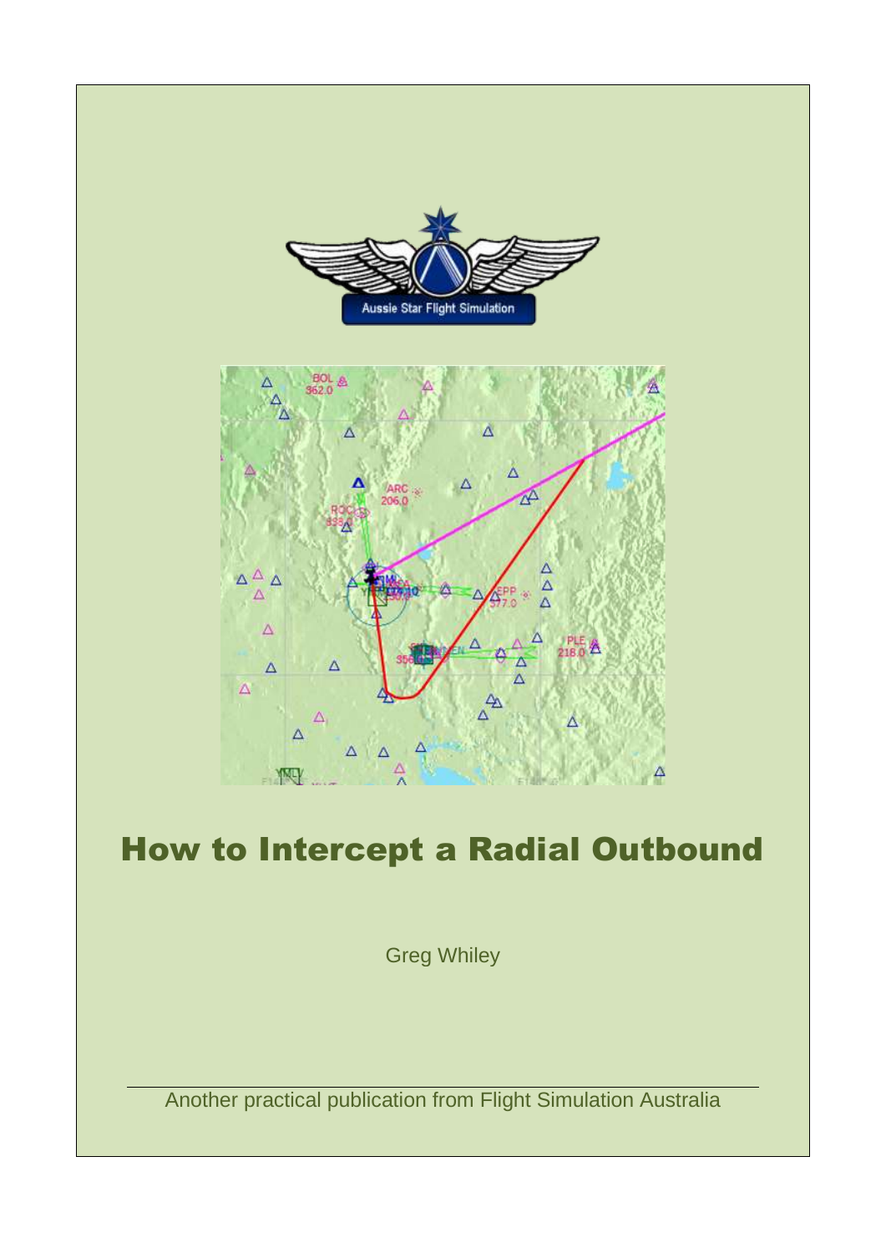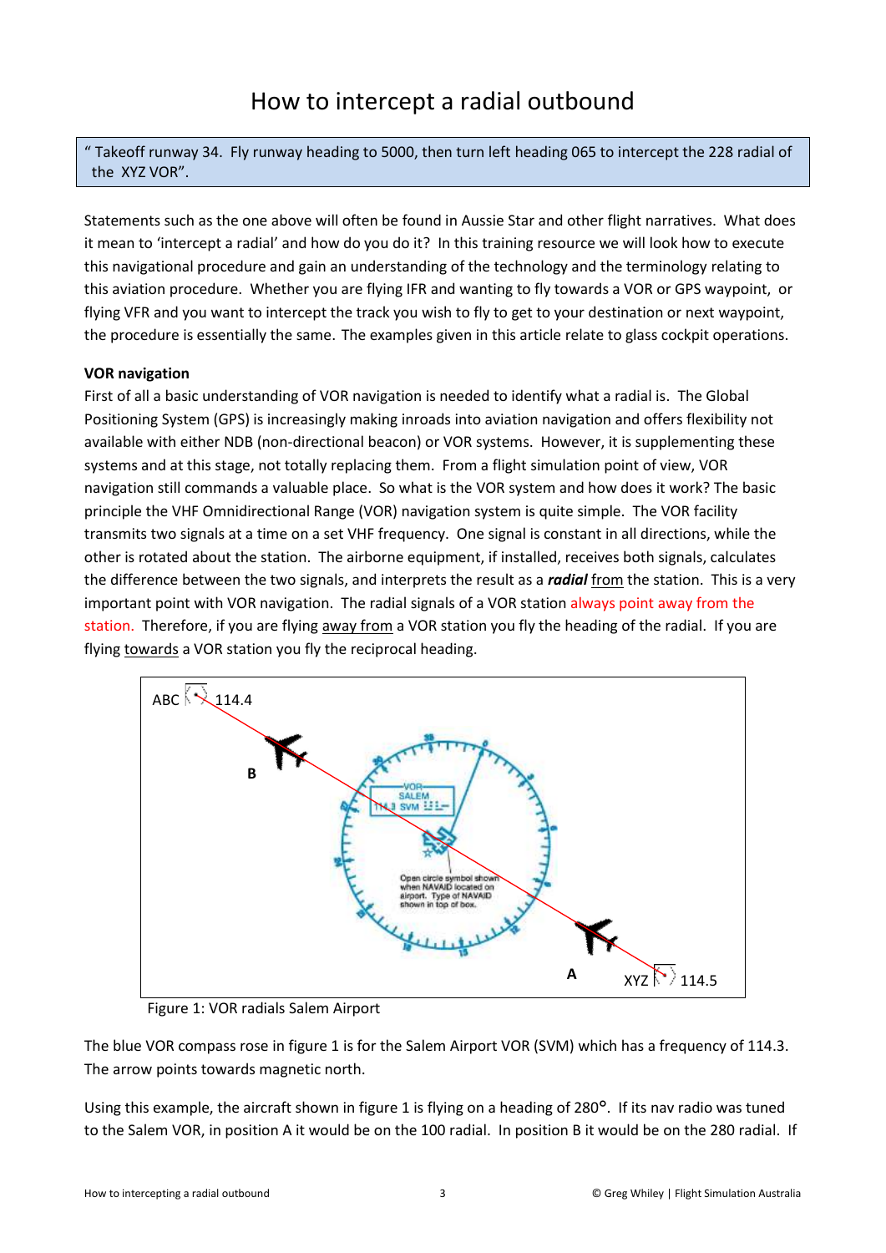" Takeoff runway 34. Fly runway heading to 5000, then turn left heading 065 to intercept the 228 radial of the XYZ VOR".

Statements such as the one above will often be found in Aussie Star and other flight narratives. What does it mean to 'intercept a radial' and how do you do it? In this training resource we will look how to execute this navigational procedure and gain an understanding of the technology and the terminology relating to this aviation procedure. Whether you are flying IFR and wanting to fly towards a VOR or GPS waypoint, or flying VFR and you want to intercept the track you wish to fly to get to your destination or next waypoint, the procedure is essentially the same. The examples given in this article relate to glass cockpit operations.

## **VOR navigation**

First of all a basic understanding of VOR navigation is needed to identify what a radial is. The Global Positioning System (GPS) is increasingly making inroads into aviation navigation and offers flexibility not available with either NDB (non-directional beacon) or VOR systems. However, it is supplementing these systems and at this stage, not totally replacing them. From a flight simulation point of view, VOR navigation still commands a valuable place. So what is the VOR system and how does it work? The basic principle the VHF Omnidirectional Range (VOR) navigation system is quite simple. The VOR facility transmits two signals at a time on a set VHF frequency. One signal is constant in all directions, while the other is rotated about the station. The airborne equipment, if installed, receives both signals, calculates the difference between the two signals, and interprets the result as a *radial* from the station. This is a very important point with VOR navigation. The radial signals of a VOR station always point away from the station. Therefore, if you are flying away from a VOR station you fly the heading of the radial. If you are flying towards a VOR station you fly the reciprocal heading.



Figure 1: VOR radials Salem Airport

The blue VOR compass rose in figure 1 is for the Salem Airport VOR (SVM) which has a frequency of 114.3. The arrow points towards magnetic north.

Using this example, the aircraft shown in figure 1 is flying on a heading of 280°. If its nav radio was tuned to the Salem VOR, in position A it would be on the 100 radial. In position B it would be on the 280 radial. If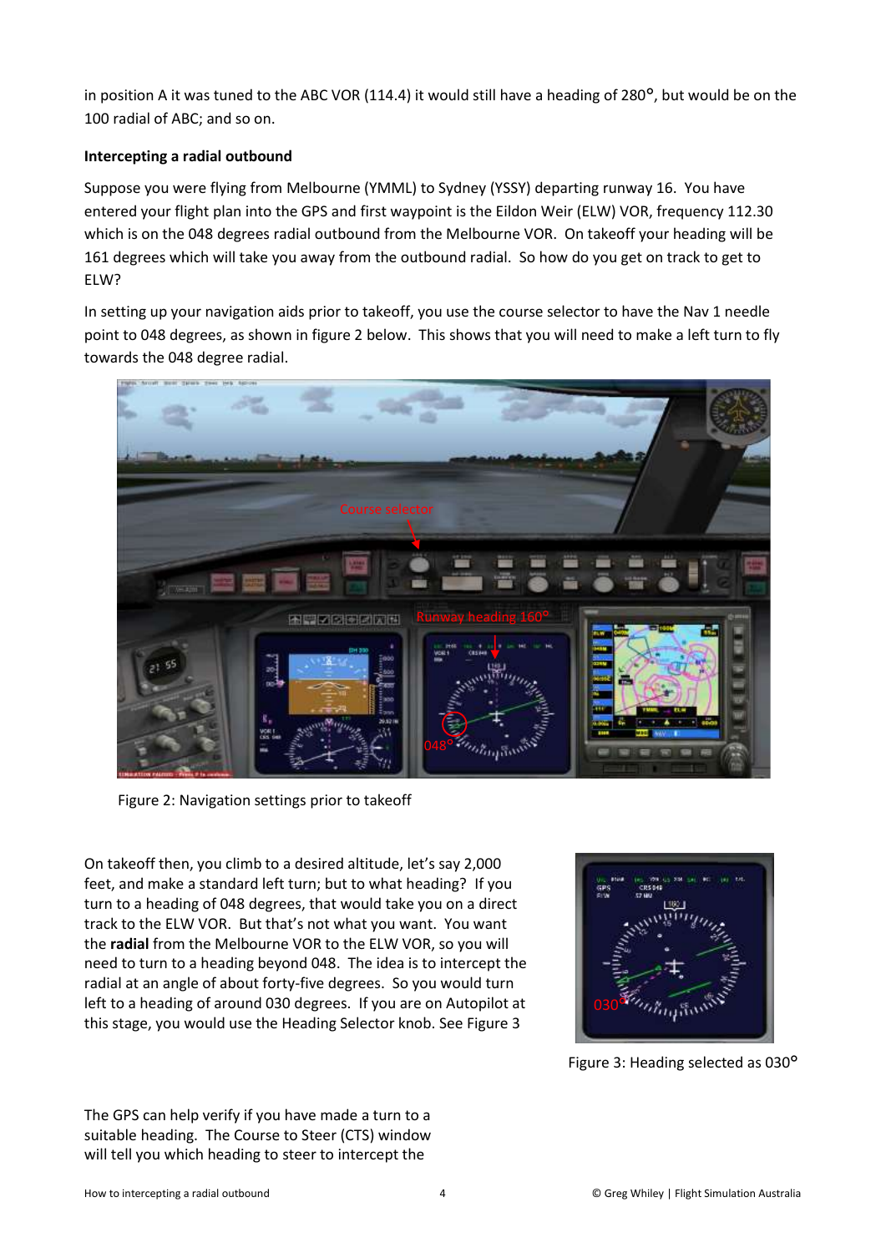in position A it was tuned to the ABC VOR (114.4) it would still have a heading of 280°, but would be on the 100 radial of ABC; and so on.

## **Intercepting a radial outbound**

Suppose you were flying from Melbourne (YMML) to Sydney (YSSY) departing runway 16. You have entered your flight plan into the GPS and first waypoint is the Eildon Weir (ELW) VOR, frequency 112.30 which is on the 048 degrees radial outbound from the Melbourne VOR. On takeoff your heading will be 161 degrees which will take you away from the outbound radial. So how do you get on track to get to ELW?

In setting up your navigation aids prior to takeoff, you use the course selector to have the Nav 1 needle point to 048 degrees, as shown in figure 2 below. This shows that you will need to make a left turn to fly towards the 048 degree radial.



Figure 2: Navigation settings prior to takeoff

On takeoff then, you climb to a desired altitude, let's say 2,000 feet, and make a standard left turn; but to what heading? If you turn to a heading of 048 degrees, that would take you on a direct track to the ELW VOR. But that's not what you want. You want the **radial** from the Melbourne VOR to the ELW VOR, so you will need to turn to a heading beyond 048. The idea is to intercept the radial at an angle of about forty-five degrees. So you would turn left to a heading of around 030 degrees. If you are on Autopilot at this stage, you would use the Heading Selector knob. See Figure 3



Figure 3: Heading selected as 030°

The GPS can help verify if you have made a turn to a suitable heading. The Course to Steer (CTS) window will tell you which heading to steer to intercept the